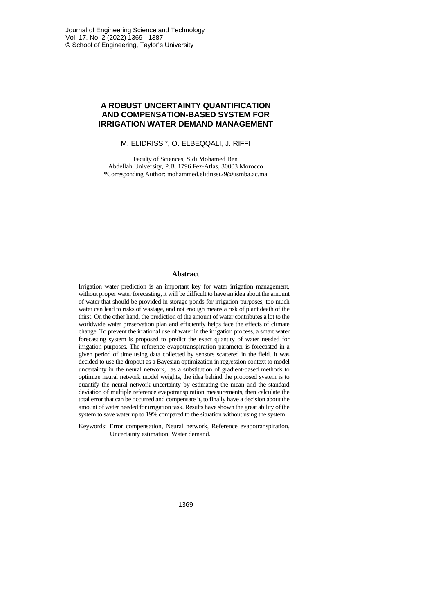# **A ROBUST UNCERTAINTY QUANTIFICATION AND COMPENSATION-BASED SYSTEM FOR IRRIGATION WATER DEMAND MANAGEMENT**

## M. ELIDRISSI\*, O. ELBEQQALI, J. RIFFI

Faculty of Sciences, Sidi Mohamed Ben Abdellah University, P.B. 1796 Fez-Atlas, 30003 Morocco \*Corresponding Author: mohammed.elidrissi29@usmba.ac.ma

## **Abstract**

Irrigation water prediction is an important key for water irrigation management, without proper water forecasting, it will be difficult to have an idea about the amount of water that should be provided in storage ponds for irrigation purposes, too much water can lead to risks of wastage, and not enough means a risk of plant death of the thirst. On the other hand, the prediction of the amount of water contributes a lot to the worldwide water preservation plan and efficiently helps face the effects of climate change. To prevent the irrational use of water in the irrigation process, a smart water forecasting system is proposed to predict the exact quantity of water needed for irrigation purposes. The reference evapotranspiration parameter is forecasted in a given period of time using data collected by sensors scattered in the field. It was decided to use the dropout as a Bayesian optimization in regression context to model uncertainty in the neural network, as a substitution of gradient-based methods to optimize neural network model weights, the idea behind the proposed system is to quantify the neural network uncertainty by estimating the mean and the standard deviation of multiple reference evapotranspiration measurements, then calculate the total error that can be occurred and compensate it, to finally have a decision about the amount of water needed for irrigation task. Results have shown the great ability of the system to save water up to 19% compared to the situation without using the system.

Keywords: Error compensation, Neural network, Reference evapotranspiration, Uncertainty estimation, Water demand.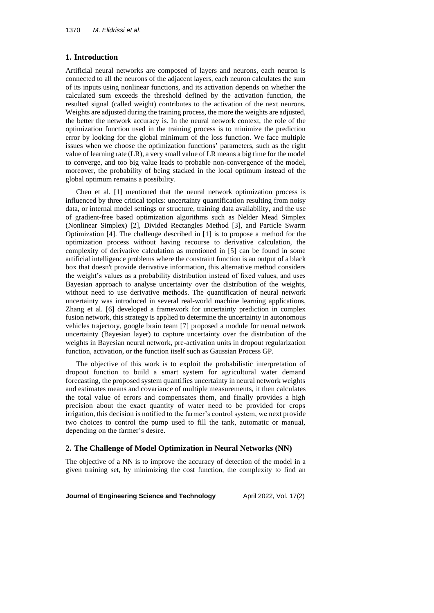## **1. Introduction**

Artificial neural networks are composed of layers and neurons, each neuron is connected to all the neurons of the adjacent layers, each neuron calculates the sum of its inputs using nonlinear functions, and its activation depends on whether the calculated sum exceeds the threshold defined by the activation function, the resulted signal (called weight) contributes to the activation of the next neurons. Weights are adjusted during the training process, the more the weights are adjusted, the better the network accuracy is. In the neural network context, the role of the optimization function used in the training process is to minimize the prediction error by looking for the global minimum of the loss function. We face multiple issues when we choose the optimization functions' parameters, such as the right value of learning rate (LR), a very small value of LR means a big time for the model to converge, and too big value leads to probable non-convergence of the model, moreover, the probability of being stacked in the local optimum instead of the global optimum remains a possibility.

Chen et al. [1] mentioned that the neural network optimization process is influenced by three critical topics: uncertainty quantification resulting from noisy data, or internal model settings or structure, training data availability, and the use of gradient-free based optimization algorithms such as Nelder Mead Simplex (Nonlinear Simplex) [2], Divided Rectangles Method [3], and Particle Swarm Optimization [4]. The challenge described in [1] is to propose a method for the optimization process without having recourse to derivative calculation, the complexity of derivative calculation as mentioned in [5] can be found in some artificial intelligence problems where the constraint function is an output of a black box that doesn't provide derivative information, this alternative method considers the weight's values as a probability distribution instead of fixed values, and uses Bayesian approach to analyse uncertainty over the distribution of the weights, without need to use derivative methods. The quantification of neural network uncertainty was introduced in several real-world machine learning applications, Zhang et al. [6] developed a framework for uncertainty prediction in complex fusion network, this strategy is applied to determine the uncertainty in autonomous vehicles trajectory, google brain team [7] proposed a module for neural network uncertainty (Bayesian layer) to capture uncertainty over the distribution of the weights in Bayesian neural network, pre-activation units in dropout regularization function, activation, or the function itself such as Gaussian Process GP.

The objective of this work is to exploit the probabilistic interpretation of dropout function to build a smart system for agricultural water demand forecasting, the proposed system quantifies uncertainty in neural network weights and estimates means and covariance of multiple measurements, it then calculates the total value of errors and compensates them, and finally provides a high precision about the exact quantity of water need to be provided for crops irrigation, this decision is notified to the farmer's control system, we next provide two choices to control the pump used to fill the tank, automatic or manual, depending on the farmer's desire.

## **2. The Challenge of Model Optimization in Neural Networks (NN)**

The objective of a NN is to improve the accuracy of detection of the model in a given training set, by minimizing the cost function, the complexity to find an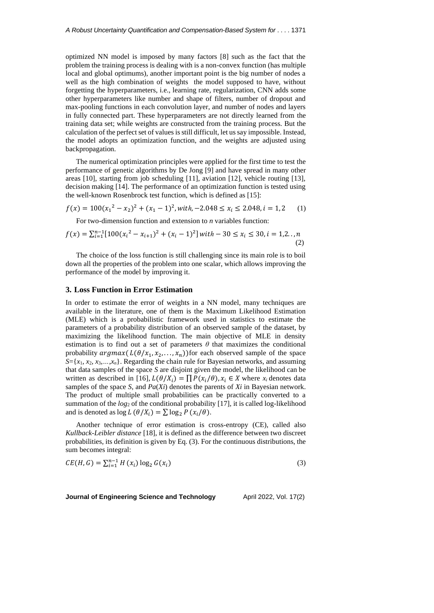optimized NN model is imposed by many factors [8] such as the fact that the problem the training process is dealing with is a non-convex function (has multiple local and global optimums), another important point is the big number of nodes a well as the high combination of weights the model supposed to have, without forgetting the hyperparameters, i.e., learning rate, regularization, CNN adds some other hyperparameters like number and shape of filters, number of dropout and max-pooling functions in each convolution layer, and number of nodes and layers in fully connected part. These hyperparameters are not directly learned from the training data set; while weights are constructed from the training process. But the calculation of the perfect set of values is still difficult, let ussay impossible. Instead, the model adopts an optimization function, and the weights are adjusted using backpropagation.

The numerical optimization principles were applied for the first time to test the performance of genetic algorithms by De Jong [9] and have spread in many other areas [10], starting from job scheduling [11], aviation [12], vehicle routing [13], decision making [14]. The performance of an optimization function is tested using the well-known Rosenbrock test function, which is defined as [15]:

$$
f(x) = 100(x_1^2 - x_2)^2 + (x_1 - 1)^2, with, -2.048 \le x_i \le 2.048, i = 1, 2
$$
 (1)

For two-dimension function and extension to *n* variables function:

$$
f(x) = \sum_{i=1}^{n-1} [100(x_i^2 - x_{i+1})^2 + (x_i - 1)^2] \text{ with } -30 \le x_i \le 30, i = 1,2...n
$$
\n(2)

The choice of the loss function is still challenging since its main role is to boil down all the properties of the problem into one scalar, which allows improving the performance of the model by improving it.

#### **3. Loss Function in Error Estimation**

In order to estimate the error of weights in a NN model, many techniques are available in the literature, one of them is the Maximum Likelihood Estimation (MLE) which is a probabilistic framework used in statistics to estimate the parameters of a probability distribution of an observed sample of the dataset, by maximizing the likelihood function. The main objective of MLE in density estimation is to find out a set of parameters  $\theta$  that maximizes the conditional probability  $argmax(L(\theta/x_1, x_2, ..., x_n))$  for each observed sample of the space  $S = \{x_1, x_2, x_3, \ldots, x_n\}$ . Regarding the chain rule for Bayesian networks, and assuming that data samples of the space *S* are disjoint given the model, the likelihood can be written as described in [16],  $L(\theta/X_i) = \prod P(x_i/\theta)$ ,  $x_i \in X$  where  $x_i$  denotes data samples of the space *S*, and *Pa*(*Xi*) denotes the parents of *Xi* in Bayesian network. The product of multiple small probabilities can be practically converted to a summation of the *log*<sup>2</sup> of the conditional probability [17], it is called log-likelihood and is denoted as  $\log L(\theta/X_i) = \sum \log_2 P(x_i/\theta)$ .

Another technique of error estimation is cross-entropy (CE), called also *Kullback*-*Leibler distance* [18], it is defined as the difference between two discreet probabilities, its definition is given by Eq. (3). For the continuous distributions, the sum becomes integral:

$$
CE(H, G) = \sum_{i=1}^{n-1} H(x_i) \log_2 G(x_i)
$$
 (3)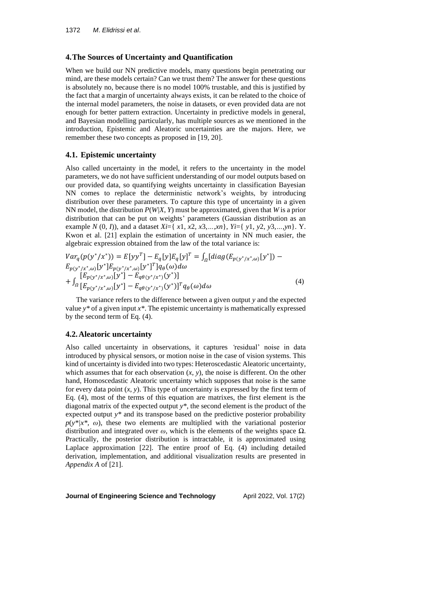## **4.The Sources of Uncertainty and Quantification**

When we build our NN predictive models, many questions begin penetrating our mind, are these models certain? Can we trust them? The answer for these questions is absolutely no, because there is no model 100% trustable, and this is justified by the fact that a margin of uncertainty always exists, it can be related to the choice of the internal model parameters, the noise in datasets, or even provided data are not enough for better pattern extraction. Uncertainty in predictive models in general, and Bayesian modelling particularly, has multiple sources as we mentioned in the introduction, Epistemic and Aleatoric uncertainties are the majors. Here, we remember these two concepts as proposed in [19, 20].

## **4.1. Epistemic uncertainty**

Also called uncertainty in the model, it refers to the uncertainty in the model parameters, we do not have sufficient understanding of our model outputs based on our provided data, so quantifying weights uncertainty in classification Bayesian NN comes to replace the deterministic network's weights, by introducing distribution over these parameters. To capture this type of uncertainty in a given NN model, the distribution *P*(*W|X*, *Y*) must be approximated, given that *W* is a prior distribution that can be put on weights' parameters (Gaussian distribution as an example *N* (0, *I*)), and a dataset *Xi*={ *x*1, *x*2, *x*3,*…*,*xn*}, *Yi*={ *y*1, *y*2, *y*3,*…*,*yn*}. Y. Kwon et al. [21] explain the estimation of uncertainty in NN much easier, the algebraic expression obtained from the law of the total variance is:

$$
Var_{q}(p(y^{*}/x^{*})) = E[yy^{T}] - E_{q}[y]E_{q}[y]^{T} = \int_{\Omega}[diag(E_{p(y^{*}/x^{*},\omega)}[y^{*}]) - E_{p(y^{*}/x^{*},\omega)}[y^{*}]E_{p(y^{*}/x^{*},\omega)}[y^{*}]^{T}]q_{\theta}(\omega)d\omega + \int_{\Omega} [E_{p(y^{*}/x^{*},\omega)}[y^{*}] - E_{q\theta(y^{*}/x^{*})}(y^{*})] + \int_{\Omega} [E_{p(y^{*}/x^{*},\omega)}[y^{*}] - E_{q\theta(y^{*}/x^{*})}(y^{*})]^{T}q_{\theta}(\omega)d\omega
$$
\n(4)

The variance refers to the difference between a given output *y* and the expected value  $y^*$  of a given input  $x^*$ . The epistemic uncertainty is mathematically expressed by the second term of Eq. (4).

# **4.2.Aleatoric uncertainty**

Also called uncertainty in observations, it captures *'*residual' noise in data introduced by physical sensors, or motion noise in the case of vision systems. This kind of uncertainty is divided into two types: Heteroscedastic Aleatoric uncertainty, which assumes that for each observation (*x*, *y*), the noise is different. On the other hand, Homoscedastic Aleatoric uncertainty which supposes that noise is the same for every data point (*x*, *y*). This type of uncertainty is expressed by the first term of Eq. (4), most of the terms of this equation are matrixes, the first element is the diagonal matrix of the expected output *y\**, the second element is the product of the expected output *y\** and its transpose based on the predictive posterior probability  $p(y^*/x^*, \omega)$ , these two elements are multiplied with the variational posterior distribution and integrated over *ω*, which is the elements of the weights space *Ω*. Practically, the posterior distribution is intractable, it is approximated using Laplace approximation [22]. The entire proof of Eq. (4) including detailed derivation, implementation, and additional visualization results are presented in *Appendix A* of [21].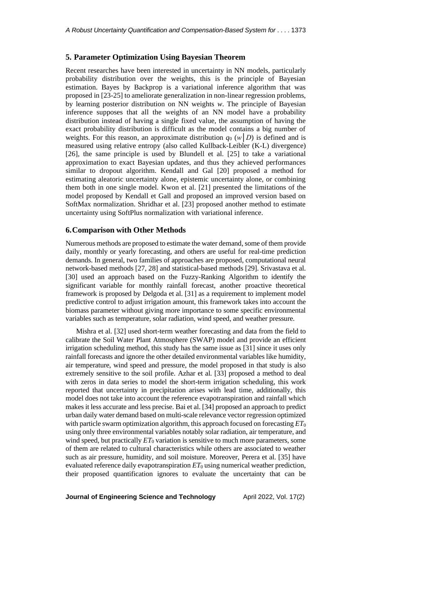## **5. Parameter Optimization Using Bayesian Theorem**

Recent researches have been interested in uncertainty in NN models, particularly probability distribution over the weights, this is the principle of Bayesian estimation. Bayes by Backprop is a variational inference algorithm that was proposed in [23-25] to ameliorate generalization in non-linear regression problems, by learning posterior distribution on NN weights *w*. The principle of Bayesian inference supposes that all the weights of an NN model have a probability distribution instead of having a single fixed value, the assumption of having the exact probability distribution is difficult as the model contains a big number of weights. For this reason, an approximate distribution  $q_0$  ( $w|D$ ) is defined and is measured using relative entropy (also called Kullback-Leibler (K-L) divergence) [26], the same principle is used by Blundell et al. [25] to take a variational approximation to exact Bayesian updates, and thus they achieved performances similar to dropout algorithm. Kendall and Gal [20] proposed a method for estimating aleatoric uncertainty alone, epistemic uncertainty alone, or combining them both in one single model. Kwon et al. [21] presented the limitations of the model proposed by Kendall et Gall and proposed an improved version based on SoftMax normalization. Shridhar et al. [23] proposed another method to estimate uncertainty using SoftPlus normalization with variational inference.

### **6.Comparison with Other Methods**

Numerous methods are proposed to estimate the water demand, some of them provide daily, monthly or yearly forecasting, and others are useful for real-time prediction demands. In general, two families of approaches are proposed, computational neural network-based methods [27, 28] and statistical-based methods [29]. Srivastava et al. [30] used an approach based on the Fuzzy-Ranking Algorithm to identify the significant variable for monthly rainfall forecast, another proactive theoretical framework is proposed by Delgoda et al. [31] as a requirement to implement model predictive control to adjust irrigation amount, this framework takes into account the biomass parameter without giving more importance to some specific environmental variables such as temperature, solar radiation, wind speed, and weather pressure.

Mishra et al. [32] used short-term weather forecasting and data from the field to calibrate the Soil Water Plant Atmosphere (SWAP) model and provide an efficient irrigation scheduling method, this study has the same issue as [31] since it uses only rainfall forecasts and ignore the other detailed environmental variables like humidity, air temperature, wind speed and pressure, the model proposed in that study is also extremely sensitive to the soil profile. Azhar et al. [33] proposed a method to deal with zeros in data series to model the short-term irrigation scheduling, this work reported that uncertainty in precipitation arises with lead time, additionally, this model does not take into account the reference evapotranspiration and rainfall which makes it less accurate and less precise. Bai et al. [34] proposed an approach to predict urban daily water demand based on multi-scale relevance vector regression optimized with particle swarm optimization algorithm, this approach focused on forecasting  $ET_0$ using only three environmental variables notably solar radiation, air temperature, and wind speed, but practically  $ET_0$  variation is sensitive to much more parameters, some of them are related to cultural characteristics while others are associated to weather such as air pressure, humidity, and soil moisture. Moreover, Perera et al. [35] have evaluated reference daily evapotranspiration  $ET_0$  using numerical weather prediction, their proposed quantification ignores to evaluate the uncertainty that can be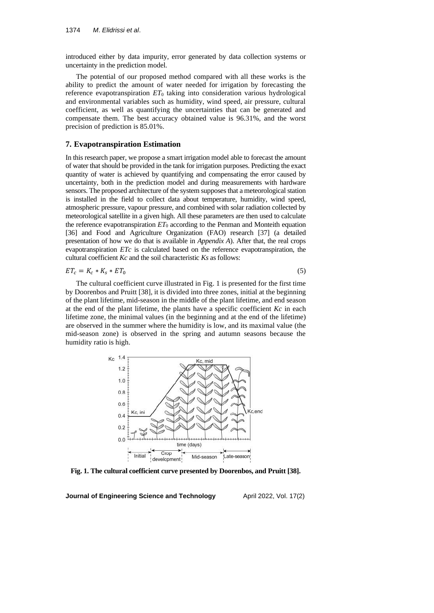introduced either by data impurity, error generated by data collection systems or uncertainty in the prediction model.

The potential of our proposed method compared with all these works is the ability to predict the amount of water needed for irrigation by forecasting the reference evapotranspiration *ET*<sup>0</sup> taking into consideration various hydrological and environmental variables such as humidity, wind speed, air pressure, cultural coefficient, as well as quantifying the uncertainties that can be generated and compensate them. The best accuracy obtained value is 96.31%, and the worst precision of prediction is 85.01%.

## **7. Evapotranspiration Estimation**

In this research paper, we propose a smart irrigation model able to forecast the amount of water that should be provided in the tank for irrigation purposes. Predicting the exact quantity of water is achieved by quantifying and compensating the error caused by uncertainty, both in the prediction model and during measurements with hardware sensors. The proposed architecture of the system supposes that a meteorological station is installed in the field to collect data about temperature, humidity, wind speed, atmospheric pressure, vapour pressure, and combined with solar radiation collected by meteorological satellite in a given high. All these parameters are then used to calculate the reference evapotranspiration  $ET_0$  according to the Penman and Monteith equation [36] and Food and Agriculture Organization (FAO) research [37] (a detailed presentation of how we do that is available in *Appendix A*). After that, the real crops evapotranspiration *ETc* is calculated based on the reference evapotranspiration, the cultural coefficient *Kc* and the soil characteristic *Ks* as follows:

$$
ET_c = K_c * K_s * ET_0 \tag{5}
$$

The cultural coefficient curve illustrated in Fig. 1 is presented for the first time by Doorenbos and Pruitt [38], it is divided into three zones, initial at the beginning of the plant lifetime, mid-season in the middle of the plant lifetime, and end season at the end of the plant lifetime, the plants have a specific coefficient *Kc* in each lifetime zone, the minimal values (in the beginning and at the end of the lifetime) are observed in the summer where the humidity is low, and its maximal value (the mid-season zone) is observed in the spring and autumn seasons because the humidity ratio is high.



**Fig. 1. The cultural coefficient curve presented by Doorenbos, and Pruitt [38].**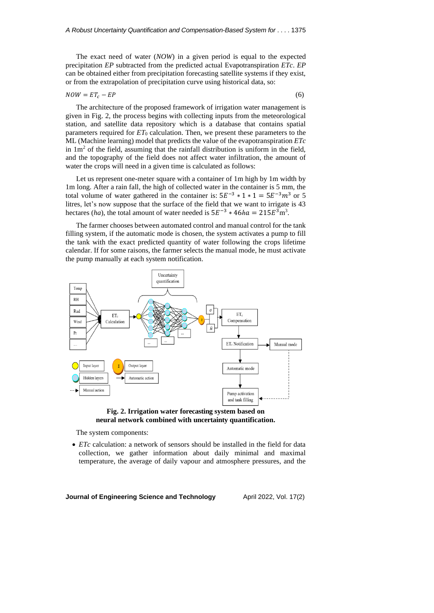The exact need of water (*NOW*) in a given period is equal to the expected precipitation *EP* subtracted from the predicted actual Evapotranspiration *ETc*. *EP* can be obtained either from precipitation forecasting satellite systems if they exist, or from the extrapolation of precipitation curve using historical data, so:

$$
NOW = ET_c - EP \tag{6}
$$

The architecture of the proposed framework of irrigation water management is given in Fig. 2, the process begins with collecting inputs from the meteorological station, and satellite data repository which is a database that contains spatial parameters required for  $ET_0$  calculation. Then, we present these parameters to the ML (Machine learning) model that predicts the value of the evapotranspiration *ETc* in  $1m<sup>2</sup>$  of the field, assuming that the rainfall distribution is uniform in the field, and the topography of the field does not affect water infiltration, the amount of water the crops will need in a given time is calculated as follows:

Let us represent one-meter square with a container of 1m high by 1m width by 1m long. After a rain fall, the high of collected water in the container is 5 mm, the total volume of water gathered in the container is:  $5E^{-3} * 1 * 1 = 5E^{-3}m^3$  or 5 litres, let's now suppose that the surface of the field that we want to irrigate is 43 hectares (*ha*), the total amount of water needed is  $5E^{-3} * 46ha = 215E^{3} \text{m}^{3}$ .

The farmer chooses between automated control and manual control for the tank filling system, if the automatic mode is chosen, the system activates a pump to fill the tank with the exact predicted quantity of water following the crops lifetime calendar. If for some raisons, the farmer selects the manual mode, he must activate the pump manually at each system notification.



**Fig. 2. Irrigation water forecasting system based on neural network combined with uncertainty quantification.**

The system components:

• *ETc* calculation: a network of sensors should be installed in the field for data collection, we gather information about daily minimal and maximal temperature, the average of daily vapour and atmosphere pressures, and the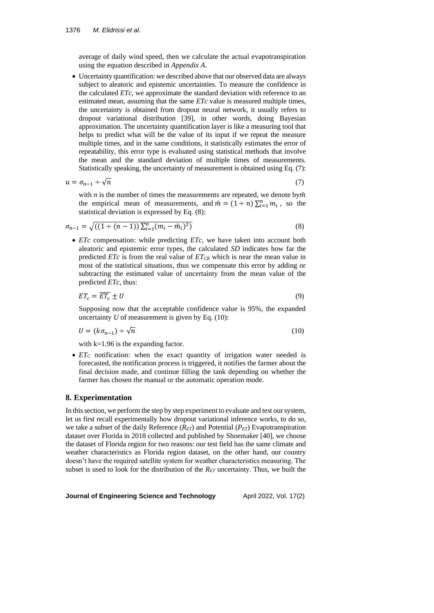average of daily wind speed, then we calculate the actual evapotranspiration using the equation described in *Appendix A*.

• Uncertainty quantification: we described above that our observed data are always subject to aleatoric and epistemic uncertainties. To measure the confidence in the calculated *ETc*, we approximate the standard deviation with reference to an estimated mean, assuming that the same *ETc* value is measured multiple times, the uncertainty is obtained from dropout neural network, it usually refers to dropout variational distribution [39], in other words, doing Bayesian approximation. The uncertainty quantification layer is like a measuring tool that helps to predict what will be the value of its input if we repeat the measure multiple times, and in the same conditions, it statistically estimates the error of repeatability, this error type is evaluated using statistical methods that involve the mean and the standard deviation of multiple times of measurements. Statistically speaking, the uncertainty of measurement is obtained using Eq. (7):

$$
u = \sigma_{n-1} \div \sqrt{n} \tag{7}
$$

with  $n$  is the number of times the measurements are repeated, we denote by $\bar{m}$ the empirical mean of measurements, and  $\bar{m} = (1 \div n) \sum_{i=1}^{n} m_i$ , so the statistical deviation is expressed by Eq. (8):

$$
\sigma_{n-1} = \sqrt{((1 \div (n-1))\sum_{i=1}^{n}(m_i - \bar{m}_i)^2)}
$$
\n(8)

• *ETc* compensation: while predicting *ETc*, we have taken into account both aleatoric and epistemic error types, the calculated *SD* indicates how far the predicted *ETc* is from the real value of *ETCR* which is near the mean value in most of the statistical situations, thus we compensate this error by adding or subtracting the estimated value of uncertainty from the mean value of the predicted *ETc*, thus:

$$
ET_c = ET_c \pm U \tag{9}
$$

Supposing now that the acceptable confidence value is 95%, the expanded uncertainty  $U$  of measurement is given by Eq.  $(10)$ :

$$
U = (k\sigma_{n-1}) \div \sqrt{n} \tag{10}
$$

with k=1.96 is the expanding factor.

• *ET<sub>C</sub>* notification: when the exact quantity of irrigation water needed is forecasted, the notification process is triggered, it notifies the farmer about the final decision made, and continue filling the tank depending on whether the farmer has chosen the manual or the automatic operation mode.

## **8. Experimentation**

In this section, we perform the step by step experiment to evaluate and test our system, let us first recall experimentally how dropout variational inference works, to do so, we take a subset of the daily Reference (*RET*) and Potential (*PET*) Evapotranspiration dataset over Florida in 2018 collected and published by Shoemaker [40], we choose the dataset of Florida region for two reasons: our test field has the same climate and weather characteristics as Florida region dataset, on the other hand, our country doesn't have the required satellite system for weather characteristics measuring. The subset is used to look for the distribution of the *RET* uncertainty. Thus, we built the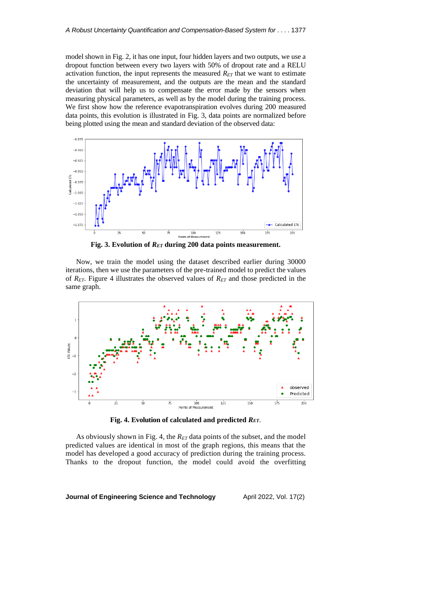model shown in Fig. 2, it has one input, four hidden layers and two outputs, we use a dropout function between every two layers with 50% of dropout rate and a RELU activation function, the input represents the measured *RET* that we want to estimate the uncertainty of measurement, and the outputs are the mean and the standard deviation that will help us to compensate the error made by the sensors when measuring physical parameters, as well as by the model during the training process. We first show how the reference evapotranspiration evolves during 200 measured data points, this evolution is illustrated in Fig. 3, data points are normalized before being plotted using the mean and standard deviation of the observed data:



**Fig. 3. Evolution of** *RET* **during 200 data points measurement.**

Now, we train the model using the dataset described earlier during 30000 iterations, then we use the parameters of the pre-trained model to predict the values of *RET*. Figure 4 illustrates the observed values of *RET* and those predicted in the same graph.



**Fig. 4. Evolution of calculated and predicted** *RET*.

As obviously shown in Fig. 4, the *RET* data points of the subset, and the model predicted values are identical in most of the graph regions, this means that the model has developed a good accuracy of prediction during the training process. Thanks to the dropout function, the model could avoid the overfitting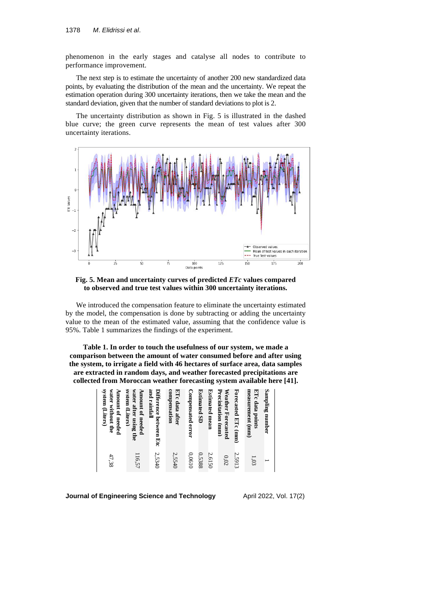phenomenon in the early stages and catalyse all nodes to contribute to performance improvement.

The next step is to estimate the uncertainty of another 200 new standardized data points, by evaluating the distribution of the mean and the uncertainty. We repeat the estimation operation during 300 uncertainty iterations, then we take the mean and the standard deviation, given that the number of standard deviations to plot is 2.

The uncertainty distribution as shown in Fig. 5 is illustrated in the dashed blue curve; the green curve represents the mean of test values after 300 uncertainty iterations.





We introduced the compensation feature to eliminate the uncertainty estimated by the model, the compensation is done by subtracting or adding the uncertainty value to the mean of the estimated value, assuming that the confidence value is 95%. Table 1 summarizes the findings of the experiment.

**Table 1. In order to touch the usefulness of our system, we made a comparison between the amount of water consumed before and after using the system, to irrigate a field with 46 hectares of surface area, data samples are extracted in random days, and weather forecasted precipitations are collected from Moroccan weather forecasting system available here [41].**

| measurement (mm)<br>ETc data points<br>Sampling number       | 1,03   |
|--------------------------------------------------------------|--------|
| Forecasted ETc (mm)                                          | 2.5913 |
| Precipitation (mm)<br>Weather Forecasted                     | 0,02   |
| <b>Estimated mean</b>                                        | 2,6150 |
| <b>Estimated SD</b>                                          | 0,5388 |
| <b>Compensated error</b>                                     | 0.0610 |
| compensation<br>ETc data after                               | 2,5540 |
| and rainfall<br>Difference between Etc                       | 2,5340 |
| svstem (Liters)<br>water after using the<br>Amount of needed | 116,57 |
| system (Liters)<br>water without the<br>Amount of needed     | 47,38  |
|                                                              |        |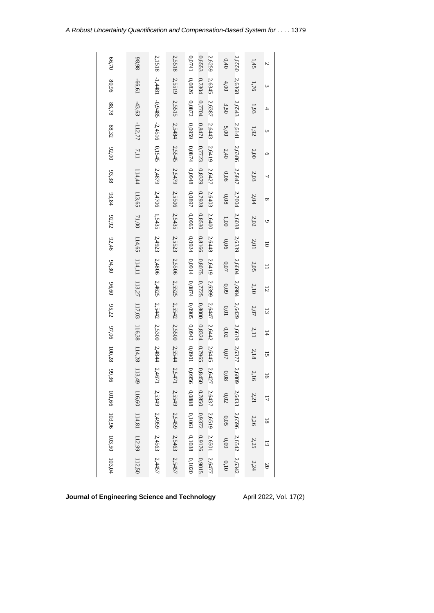| 66,70                       | 98,98                                            | 2,1518                               | 2,5518                                                                                 | $0.0741$<br>0,6553<br>2.6259               | 2.6550<br>$0.40$   | 1,45     | $\mathcal{L}$             |
|-----------------------------|--------------------------------------------------|--------------------------------------|----------------------------------------------------------------------------------------|--------------------------------------------|--------------------|----------|---------------------------|
| 80,96                       | -66,61                                           |                                      | 2,5519                                                                                 | 0.7304<br>0,0826<br>2,6345                 | 2.6368<br>4,00     | 1,76     | $\omega$                  |
| $88.78\,$                   | $-43,63$                                         |                                      | 2,5515                                                                                 | 0,7704<br>0.0872<br>2,6387                 | 2.6543<br>3,50     | 1,93     | 4                         |
| 88,32                       | $-112,77$                                        | $-1,4481$ $-0,9485$ $-2,4516$ 0,1545 |                                                                                        | $0.8471$ $0.7723$<br>2,6443                | 2.6141<br>5,00     | $1.92\,$ | U                         |
| 92,00                       | 7,11                                             |                                      |                                                                                        | 0,0959 0,0874<br>2,6419                    | 2.6386<br>2,40     | $2{,}00$ | O                         |
| 93,38                       | 114,44                                           | 2,4879                               |                                                                                        | 0,8379 0,7928<br>8760'0<br>2.6427          | 2.5847<br>0.06     | $2.03\,$ | 7                         |
|                             | 113,65                                           | 2,4706                               | 2,5484 2,5545 2,5479 2,5506 2,5435                                                     | $0.0897\,$<br>2,6403                       | 2.7004<br>0.08     | $2.04$   | $\infty$                  |
| 93,84 92,92                 | 71,00                                            | 1,5435                               |                                                                                        | 0,8530<br>0,0965<br>2,6400                 | 2.6038<br>1,00     | $2.02\,$ | $\circ$                   |
| 92,46                       |                                                  |                                      |                                                                                        | 0,8166<br>2,6448                           | 2.6339<br>0.06     | $2.01\,$ | $\overline{\circ}$        |
| 94,30                       | 114,65 114,11 113,27 117,03 116,38 114,28 113,49 | 2,4923 2,4806                        | $2,5523 \quad 2,5506 \quad 2,5525 \quad 2,5542 \quad 2,5500 \quad 2,5544 \quad 2,5471$ | 0,0924 0,0914<br>0,8075<br>2,6419          | 2.6604<br>0.07     | $2.05$   | $\equiv$                  |
| 96,60                       |                                                  | 2,4625 2,5442                        |                                                                                        | 0,7725 0,8000<br>$0,0874$ 0,0905<br>2,6399 | 2.6984<br>0.09     | $2,10$   | 12                        |
| 95,22                       |                                                  |                                      |                                                                                        | 2,6447                                     | 2.6429<br>$0.01\,$ | $2.07\,$ | $\overline{3}$            |
|                             |                                                  | 2,5300 2,4844                        |                                                                                        | 0,8324 0,7965<br>0,0942<br>2.6442          | 2.6619<br>$0.02\,$ | 2,11     | $\overline{1}$            |
| 97,06 100,28 99,36          |                                                  |                                      |                                                                                        | 1060'0<br>2,6445                           | 2.6377<br>$0.07\,$ | $2,18$   | 15                        |
|                             |                                                  | 2,4671                               |                                                                                        | $2.6427$<br>0.8450<br>0,0956               | 2.6809<br>$0.08\,$ | $2.16$   | 56                        |
|                             |                                                  |                                      |                                                                                        | 0,0888                                     | 2.6433<br>$0.02\,$ | $2.21\,$ | 17                        |
|                             |                                                  | 2,5349 2,4959                        | 2,5549 2,5459 2,5463                                                                   | 2.6437 2.6519<br>0,7850 0,9372<br>0,1061   | 2.6596<br>$0.05\,$ | $2.26\,$ | $\overline{\phantom{0}}8$ |
| 101,66 103,96 103,50 103,04 | 116,60 114,81 112,99 112,50                      | (2,4563)                             |                                                                                        | 0,1038<br>2.6501<br>0,9176                 | 2.6542<br>60'0     | $2.25$   | $\overline{6}$            |
|                             |                                                  | 2,4457                               | 2,5457                                                                                 | 2.6477<br>0,9015<br>0,1020                 | 2.6342<br>$0.10$   | 2,24     | $20\,$                    |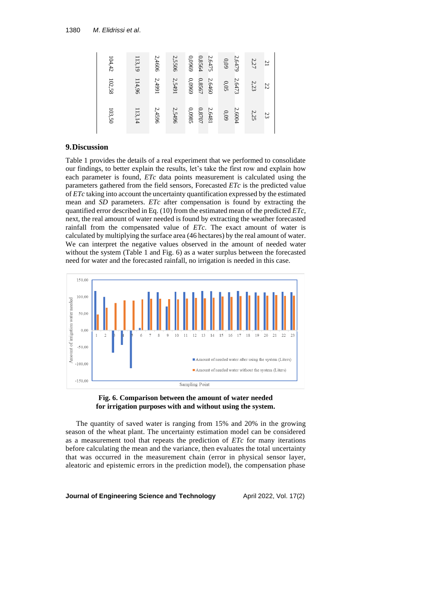| 104,42 | 113,19 | 2,4606 | 2,5506 | 6960'0 | 0,8564<br>2.6475 | 0.09 | 2.6479 | 2,27 | $^{21}$ |
|--------|--------|--------|--------|--------|------------------|------|--------|------|---------|
| 102,58 | 114,96 | 2,4991 | 2,5491 | 0,0969 | 0,8567<br>2,6460 | 0.05 | 2.6473 | 2,23 | 22      |
| 103,50 | 113,14 | 2,4596 | 2,5496 | 0,0985 | 0.8707<br>2,6481 | 60'0 | 2.6004 | 2,25 | 23      |

## **9.Discussion**

Table 1 provides the details of a real experiment that we performed to consolidate our findings, to better explain the results, let's take the first row and explain how each parameter is found, *ETc* data points measurement is calculated using the parameters gathered from the field sensors, Forecasted *ETc* is the predicted value of *ETc* taking into account the uncertainty quantification expressed by the estimated mean and *SD* parameters. *ETc* after compensation is found by extracting the quantified error described in Eq. (10) from the estimated mean of the predicted *ETc*, next, the real amount of water needed is found by extracting the weather forecasted rainfall from the compensated value of *ETc*. The exact amount of water is calculated by multiplying the surface area (46 hectares) by the real amount of water. We can interpret the negative values observed in the amount of needed water without the system (Table 1 and Fig. 6) as a water surplus between the forecasted need for water and the forecasted rainfall, no irrigation is needed in this case.





The quantity of saved water is ranging from 15% and 20% in the growing season of the wheat plant. The uncertainty estimation model can be considered as a measurement tool that repeats the prediction of *ETc* for many iterations before calculating the mean and the variance, then evaluates the total uncertainty that was occurred in the measurement chain (error in physical sensor layer, aleatoric and epistemic errors in the prediction model), the compensation phase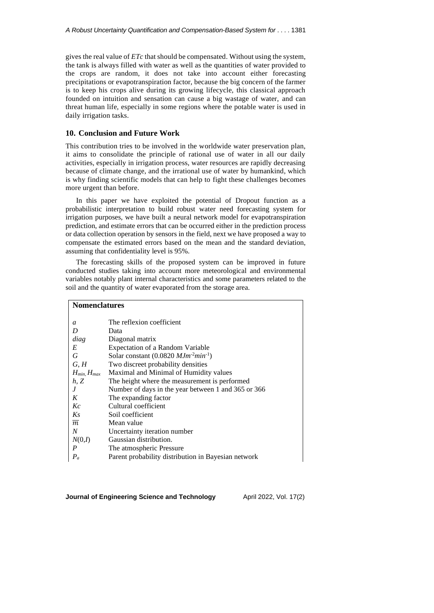gives the real value of *ETc* that should be compensated. Without using the system, the tank is always filled with water as well as the quantities of water provided to the crops are random, it does not take into account either forecasting precipitations or evapotranspiration factor, because the big concern of the farmer is to keep his crops alive during its growing lifecycle, this classical approach founded on intuition and sensation can cause a big wastage of water, and can threat human life, especially in some regions where the potable water is used in daily irrigation tasks.

## **10. Conclusion and Future Work**

This contribution tries to be involved in the worldwide water preservation plan, it aims to consolidate the principle of rational use of water in all our daily activities, especially in irrigation process, water resources are rapidly decreasing because of climate change, and the irrational use of water by humankind, which is why finding scientific models that can help to fight these challenges becomes more urgent than before.

In this paper we have exploited the potential of Dropout function as a probabilistic interpretation to build robust water need forecasting system for irrigation purposes, we have built a neural network model for evapotranspiration prediction, and estimate errors that can be occurred either in the prediction process or data collection operation by sensors in the field, next we have proposed a way to compensate the estimated errors based on the mean and the standard deviation, assuming that confidentiality level is 95%.

The forecasting skills of the proposed system can be improved in future conducted studies taking into account more meteorological and environmental variables notably plant internal characteristics and some parameters related to the soil and the quantity of water evaporated from the storage area.

| <b>Nomenclatures</b>  |                                                                            |  |  |  |  |
|-----------------------|----------------------------------------------------------------------------|--|--|--|--|
| a                     | The reflexion coefficient                                                  |  |  |  |  |
| D                     | Data                                                                       |  |  |  |  |
| diag                  | Diagonal matrix                                                            |  |  |  |  |
| E                     | <b>Expectation of a Random Variable</b>                                    |  |  |  |  |
| G                     | Solar constant $(0.0820 \text{ M} \text{J} \text{m}^{-2} \text{min}^{-1})$ |  |  |  |  |
| G, H                  | Two discreet probability densities                                         |  |  |  |  |
| $H_{min}$ , $H_{max}$ | Maximal and Minimal of Humidity values                                     |  |  |  |  |
| h, Z                  | The height where the measurement is performed.                             |  |  |  |  |
| J                     | Number of days in the year between 1 and 365 or 366                        |  |  |  |  |
| K                     | The expanding factor                                                       |  |  |  |  |
| Kc                    | Cultural coefficient                                                       |  |  |  |  |
| Ks                    | Soil coefficient                                                           |  |  |  |  |
| $\overline{m}$        | Mean value                                                                 |  |  |  |  |
| $\boldsymbol{N}$      | Uncertainty iteration number                                               |  |  |  |  |
| N(0,I)                | Gaussian distribution.                                                     |  |  |  |  |
| $\boldsymbol{P}$      | The atmospheric Pressure                                                   |  |  |  |  |
| $P_a$                 | Parent probability distribution in Bayesian network                        |  |  |  |  |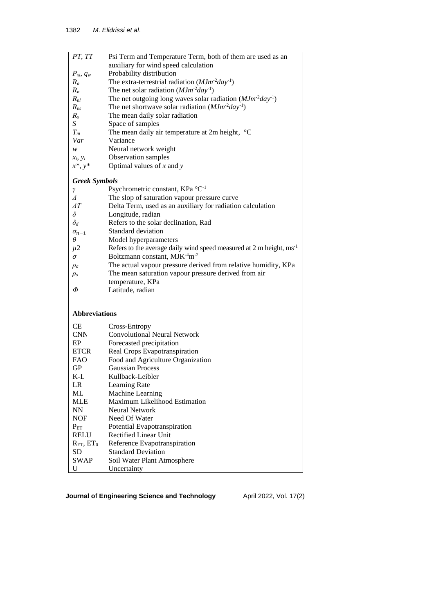| PT, TT               | Psi Term and Temperature Term, both of them are used as an                      |
|----------------------|---------------------------------------------------------------------------------|
|                      | auxiliary for wind speed calculation                                            |
| $P_{xi}, q_w$        | Probability distribution                                                        |
| $R_a$                | The extra-terrestrial radiation $(MJm^2day^{-1})$                               |
| $R_n$                | The net solar radiation $(MJm^2day^{-1})$                                       |
| $R_{nl}$             | The net outgoing long waves solar radiation $(MJm^2day^{-1})$                   |
| $R_{ns}$             | The net shortwave solar radiation $(MJm^2day^{-1})$                             |
| $R_{s}$              | The mean daily solar radiation                                                  |
| S                    | Space of samples                                                                |
| $T_m$                | The mean daily air temperature at 2m height, $\degree$ C                        |
| Var                  | Variance                                                                        |
| w                    | Neural network weight                                                           |
| $x_i, y_i$           | Observation samples                                                             |
| $x^*, y^*$           | Optimal values of $x$ and $y$                                                   |
| <b>Greek Symbols</b> |                                                                                 |
| γ                    | Psychrometric constant, KPa °C <sup>-1</sup>                                    |
| Δ                    | The slop of saturation vapour pressure curve                                    |
| $\varDelta T$        | Delta Term, used as an auxiliary for radiation calculation                      |
| $\delta$             | Longitude, radian                                                               |
| $\delta_d$           | Refers to the solar declination, Rad                                            |
| $\sigma_{n-1}$       | Standard deviation                                                              |
| θ                    | Model hyperparameters                                                           |
| $\mu$ 2              | Refers to the average daily wind speed measured at 2 m height, ms <sup>-1</sup> |
| σ                    | Boltzmann constant, MJK <sup>-4</sup> m <sup>-2</sup>                           |
| $\rho_a$             | The actual vapour pressure derived from relative humidity, KPa                  |
| $\rho_s$             | The mean saturation vapour pressure derived from air                            |
|                      | temperature, KPa                                                                |
| Φ                    | Latitude, radian                                                                |
|                      |                                                                                 |
| <b>Abbreviations</b> |                                                                                 |
| СE                   | Cross-Entropy                                                                   |
| <b>CNN</b>           | <b>Convolutional Neural Network</b>                                             |
| EP                   | Forecasted precipitation                                                        |
| <b>ETCR</b>          | Real Crops Evapotranspiration                                                   |
| FAO                  | Food and Agriculture Organization                                               |
| GP                   | <b>Gaussian Process</b>                                                         |
| $K-L$                | Kullback-Leibler                                                                |
| LR                   | Learning Rate                                                                   |
| ML                   | Machine Learning                                                                |
| <b>MLE</b>           | Maximum Likelihood Estimation                                                   |
| <b>NN</b>            | Neural Network                                                                  |
| <b>NOF</b>           | Need Of Water                                                                   |
| $P_{ET}$             | Potential Evapotranspiration                                                    |
| <b>RELU</b>          | <b>Rectified Linear Unit</b>                                                    |
| $R_{ET}$ , $ET_0$    | Reference Evapotranspiration                                                    |
| SD                   | <b>Standard Deviation</b>                                                       |
| <b>SWAP</b>          | Soil Water Plant Atmosphere                                                     |
| U                    | Uncertainty                                                                     |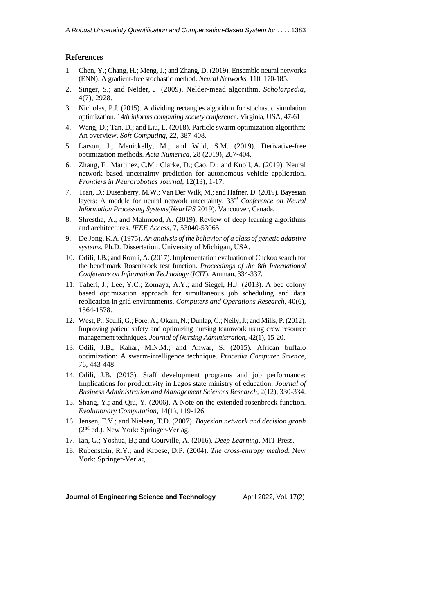## **References**

- 1. Chen, Y.; Chang, H.; Meng, J.; and Zhang, D. (2019). Ensemble neural networks (ENN): A gradient-free stochastic method. *Neural Networks*, 110, 170-185.
- 2. Singer, S.; and Nelder, J. (2009). Nelder-mead algorithm. *Scholarpedia*, 4(7), 2928.
- 3. Nicholas, P.J. (2015). A dividing rectangles algorithm for stochastic simulation optimization. 14*th informs computing society conference*. Virginia, USA, 47-61.
- 4. Wang, D.; Tan, D.; and Liu, L. (2018). Particle swarm optimization algorithm: An overview. *Soft Computing*, 22, 387-408.
- 5. Larson, J.; Menickelly, M.; and Wild, S.M. (2019). Derivative-free optimization methods. *Acta Numerica*, 28 (2019), 287-404.
- 6. Zhang, F.; Martinez, C.M.; Clarke, D.; Cao, D.; and Knoll, A. (2019). Neural network based uncertainty prediction for autonomous vehicle application. *Frontiers in Neurorobotics Journal*, 12(13), 1-17.
- 7. Tran, D.; Dusenberry, M.W.; Van Der Wilk, M.; and Hafner, D. (2019). Bayesian layers: A module for neural network uncertainty. 33*rd Conference on Neural Information Processing Systems*(*NeurIPS* 2019). Vancouver, Canada.
- 8. Shrestha, A.; and Mahmood, A. (2019). Review of deep learning algorithms and architectures. *IEEE Access*, 7, 53040-53065.
- 9. De Jong, K.A. (1975). *An analysis of the behavior of a class of genetic adaptive systems*. Ph.D. Dissertation. University of Michigan, USA.
- 10. Odili, J.B.; and Romli, A. (2017). Implementation evaluation of Cuckoo search for the benchmark Rosenbrock test function. *Proceedings of the* 8*th International Conference on Information Technology* (*ICIT*). Amman, 334-337.
- 11. Taheri, J.; Lee, Y.C.; Zomaya, A.Y.; and Siegel, H.J. (2013). A bee colony based optimization approach for simultaneous job scheduling and data replication in grid environments. *Computers and Operations Research*, 40(6), 1564-1578.
- 12. West, P.; Sculli, G.; Fore, A.; Okam, N.; Dunlap, C.; Neily, J.; and Mills, P.(2012). Improving patient safety and optimizing nursing teamwork using crew resource management techniques. *Journal of Nursing Administration*, 42(1), 15-20.
- 13. Odili, J.B.; Kahar, M.N.M.; and Anwar, S. (2015). African buffalo optimization: A swarm-intelligence technique. *Procedia Computer Science*, 76, 443-448.
- 14. Odili, J.B. (2013). Staff development programs and job performance: Implications for productivity in Lagos state ministry of education. *Journal of Business Administration and Management Sciences Research*, 2(12), 330-334.
- 15. Shang, Y.; and Qiu, Y. (2006). A Note on the extended rosenbrock function. *Evolutionary Computation*, 14(1), 119-126.
- 16. Jensen, F.V.; and Nielsen, T.D. (2007). *Bayesian network and decision graph* (2<sup>nd</sup> ed.). New York: Springer-Verlag.
- 17. Ian, G.; Yoshua, B.; and Courville, A. (2016). *Deep Learning*. MIT Press.
- 18. Rubenstein, R.Y.; and Kroese, D.P. (2004). *The cross*-*entropy method*. New York: Springer-Verlag.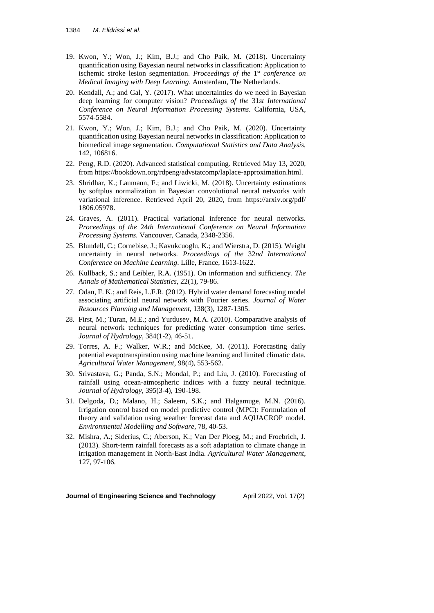- 19. Kwon, Y.; Won, J.; Kim, B.J.; and Cho Paik, M. (2018). Uncertainty quantification using Bayesian neural networks in classification: Application to ischemic stroke lesion segmentation. *Proceedings of the* 1 *st conference on Medical Imaging with Deep Learning*. Amsterdam, The Netherlands.
- 20. Kendall, A.; and Gal, Y. (2017). What uncertainties do we need in Bayesian deep learning for computer vision? *Proceedings of the* 31*st International Conference on Neural Information Processing Systems*. California, USA, 5574-5584.
- 21. Kwon, Y.; Won, J.; Kim, B.J.; and Cho Paik, M. (2020). Uncertainty quantification using Bayesian neural networks in classification: Application to biomedical image segmentation. *Computational Statistics and Data Analysis*, 142, 106816.
- 22. Peng, R.D. (2020). Advanced statistical computing. Retrieved May 13, 2020, from https://bookdown.org/rdpeng/advstatcomp/laplace-approximation.html.
- 23. Shridhar, K.; Laumann, F.; and Liwicki, M. (2018). Uncertainty estimations by softplus normalization in Bayesian convolutional neural networks with variational inference. Retrieved April 20, 2020, from <https://arxiv.org/pdf/> 1806.05978.
- 24. Graves, A. (2011). Practical variational inference for neural networks. *Proceedings of the* 24*th International Conference on Neural Information Processing Systems*. Vancouver, Canada, 2348-2356.
- 25. Blundell, C.; Cornebise, J.; Kavukcuoglu, K.; and Wierstra, D. (2015). Weight uncertainty in neural networks. *Proceedings of the* 32*nd International Conference on Machine Learning*. Lille, France, 1613-1622.
- 26. Kullback, S.; and Leibler, R.A. (1951). On information and sufficiency. *The Annals of Mathematical Statistics*, 22(1), 79-86.
- 27. Odan, F. K.; and Reis, L.F.R. (2012). Hybrid water demand forecasting model associating artificial neural network with Fourier series. *Journal of Water Resources Planning and Management*, 138(3), 1287-1305.
- 28. First, M.; Turan, M.E.; and Yurdusev, M.A. (2010). Comparative analysis of neural network techniques for predicting water consumption time series. *Journal of Hydrology*, 384(1-2), 46-51.
- 29. Torres, A. F.; Walker, W.R.; and McKee, M. (2011). Forecasting daily potential evapotranspiration using machine learning and limited climatic data. *Agricultural Water Management*, 98(4), 553-562.
- 30. Srivastava, G.; Panda, S.N.; Mondal, P.; and Liu, J. (2010). Forecasting of rainfall using ocean-atmospheric indices with a fuzzy neural technique. *Journal of Hydrology*, 395(3-4), 190-198.
- 31. Delgoda, D.; Malano, H.; Saleem, S.K.; and Halgamuge, M.N. (2016). Irrigation control based on model predictive control (MPC): Formulation of theory and validation using weather forecast data and AQUACROP model. *Environmental Modelling and Software*, 78, 40-53.
- 32. Mishra, A.; Siderius, C.; Aberson, K.; Van Der Ploeg, M.; and Froebrich, J. (2013). Short-term rainfall forecasts as a soft adaptation to climate change in irrigation management in North-East India. *Agricultural Water Management*, 127, 97-106.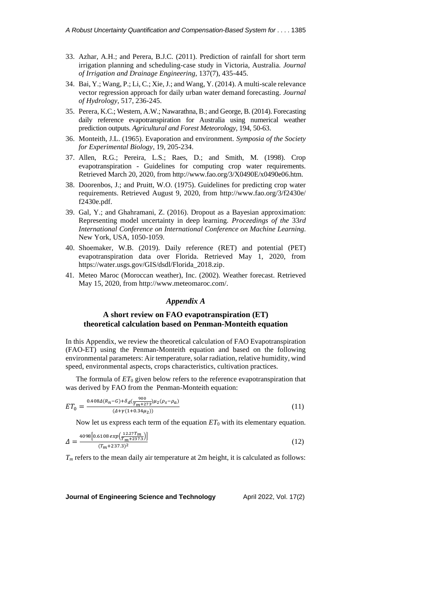- 33. Azhar, A.H.; and Perera, B.J.C. (2011). Prediction of rainfall for short term irrigation planning and scheduling-case study in Victoria, Australia. *Journal of Irrigation and Drainage Engineering*, 137(7), 435-445.
- 34. Bai, Y.; Wang, P.; Li, C.; Xie, J.; and Wang, Y. (2014). A multi-scale relevance vector regression approach for daily urban water demand forecasting. *Journal of Hydrology*, 517, 236-245.
- 35. Perera, K.C.; Western, A.W.; Nawarathna, B.; and George, B. (2014). Forecasting daily reference evapotranspiration for Australia using numerical weather prediction outputs. *Agricultural and Forest Meteorology*, 194, 50-63.
- 36. Monteith, J.L. (1965). Evaporation and environment. *Symposia of the Society for Experimental Biology*, 19, 205-234.
- 37. Allen, R.G.; Pereira, L.S.; Raes, D.; and Smith, M. (1998). Crop evapotranspiration - Guidelines for computing crop water requirements. Retrieved March 20, 2020, from [http://www.fao.org/3/X0490E/x0490e06.htm.](http://www.fao.org/3/X0490E/x0490e06.htm)
- 38. Doorenbos, J.; and Pruitt, W.O. (1975). Guidelines for predicting crop water requirements. Retrieved August 9, 2020, from<http://www.fao.org/3/f2430e/> f2430e.pdf.
- 39. Gal, Y.; and Ghahramani, Z. (2016). Dropout as a Bayesian approximation: Representing model uncertainty in deep learning. *Proceedings of the* 33*rd International Conference on International Conference on Machine Learning*. New York, USA, 1050-1059.
- 40. Shoemaker, W.B. (2019). Daily reference (RET) and potential (PET) evapotranspiration data over Florida. Retrieved May 1, 2020, from [https://water.usgs.gov/GIS/dsdl/Florida\\_2018.zip.](https://water.usgs.gov/GIS/dsdl/Florida_2018.zip)
- 41. Meteo Maroc (Moroccan weather), Inc. (2002). Weather forecast. Retrieved May 15, 2020, from [http://www.meteomaroc.com/.](http://www.meteomaroc.com/)

## *Appendix A*

## **A short review on FAO evapotranspiration (ET) theoretical calculation based on Penman-Monteith equation**

In this Appendix, we review the theoretical calculation of FAO Evapotranspiration (FAO-ET) using the Penman-Monteith equation and based on the following environmental parameters: Air temperature, solar radiation, relative humidity, wind speed, environmental aspects, crops characteristics, cultivation practices.

The formula of  $ET_0$  given below refers to the reference evapotranspiration that was derived by FAO from the Penman-Monteith equation:

$$
ET_0 = \frac{0.408\Delta(R_n - G) + \delta_d(\frac{900}{T_m + 273})\mu_2(\rho_S - \rho_a)}{(4 + \gamma(1 + 0.34\mu_2))}
$$
(11)

Now let us express each term of the equation  $ET_0$  with its elementary equation.

$$
\Delta = \frac{4098[0.6108 \exp(\frac{12.27T_m}{T_m + 237.3})]}{(T_m + 237.3)^2}
$$
\n(12)

*T<sup>m</sup>* refers to the mean daily air temperature at 2m height, it is calculated as follows: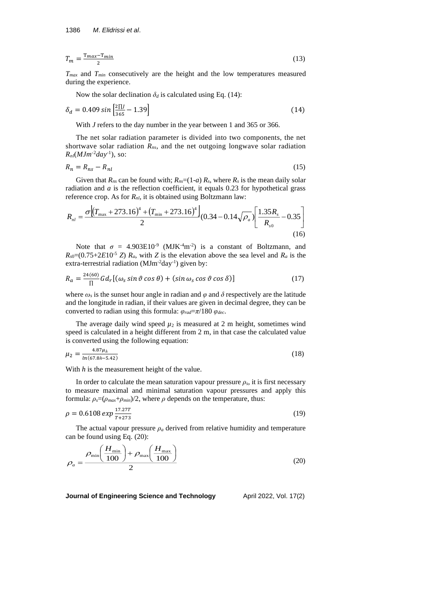$$
T_m = \frac{T_{max} - T_{min}}{2} \tag{13}
$$

*Tmax* and *Tmin* consecutively are the height and the low temperatures measured during the experience.

Now the solar declination  $\delta_d$  is calculated using Eq. (14):

$$
\delta_d = 0.409 \sin \left[ \frac{2 \text{II}}{365} - 1.39 \right] \tag{14}
$$

With *J* refers to the day number in the year between 1 and 365 or 366.

The net solar radiation parameter is divided into two components, the net shortwave solar radiation *Rns*, and the net outgoing longwave solar radiation  $R_{nl}(MJm^2day^{-1})$ , so:

$$
R_n = R_{ns} - R_{nl} \tag{15}
$$

Given that  $R_{ns}$  can be found with;  $R_{ns} = (1-a) R_s$ , where  $R_s$  is the mean daily solar radiation and *a* is the reflection coefficient, it equals 0.23 for hypothetical grass reference crop. As for *Rnl*, it is obtained using Boltzmann law:

$$
R_{nl} = \frac{\sigma \left[ (T_{\text{max}} + 273.16)^4 + (T_{\text{min}} + 273.16)^4 \right]}{2} (0.34 - 0.14 \sqrt{\rho_a}) \left[ \frac{1.35 R_s}{R_{s0}} - 0.35 \right]
$$
\n(16)

Note that  $\sigma = 4.903E10^{-9}$  (MJK<sup>-4</sup>m<sup>-2</sup>) is a constant of Boltzmann, and  $R_{s0}$ =(0.75+2*E*10<sup>-5</sup> *Z*)  $R_a$ , with *Z* is the elevation above the sea level and  $R_a$  is the extra-terrestrial radiation (MJm<sup>-2</sup>day<sup>-1</sup>) given by:

$$
R_a = \frac{24(60)}{\Pi} G d_r [(\omega_s \sin \vartheta \cos \theta) + (\sin \omega_s \cos \vartheta \cos \delta)] \tag{17}
$$

where  $\omega_s$  is the sunset hour angle in radian and  $\varphi$  and  $\delta$  respectively are the latitude and the longitude in radian, if their values are given in decimal degree, they can be converted to radian using this formula: *φrad*=*π*/180 *φdec*.

The average daily wind speed  $\mu_2$  is measured at 2 m height, sometimes wind speed is calculated in a height different from 2 m, in that case the calculated value is converted using the following equation:

$$
\mu_2 = \frac{4.87\mu_h}{\ln(67.8h - 5.42)}\tag{18}
$$

With *h* is the measurement height of the value.

In order to calculate the mean saturation vapour pressure  $\rho_s$ , it is first necessary to measure maximal and minimal saturation vapour pressures and apply this formula:  $\rho_s = (\rho_{max} + \rho_{min})/2$ , where  $\rho$  depends on the temperature, thus:

$$
\rho = 0.6108 \exp{\frac{17.27T}{T + 273}}
$$
\n(19)

The actual vapour pressure  $\rho_a$  derived from relative humidity and temperature can be found using Eq. (20):

$$
\rho_a = \frac{\rho_{\min}\left(\frac{H_{\min}}{100}\right) + \rho_{\max}\left(\frac{H_{\max}}{100}\right)}{2} \tag{20}
$$